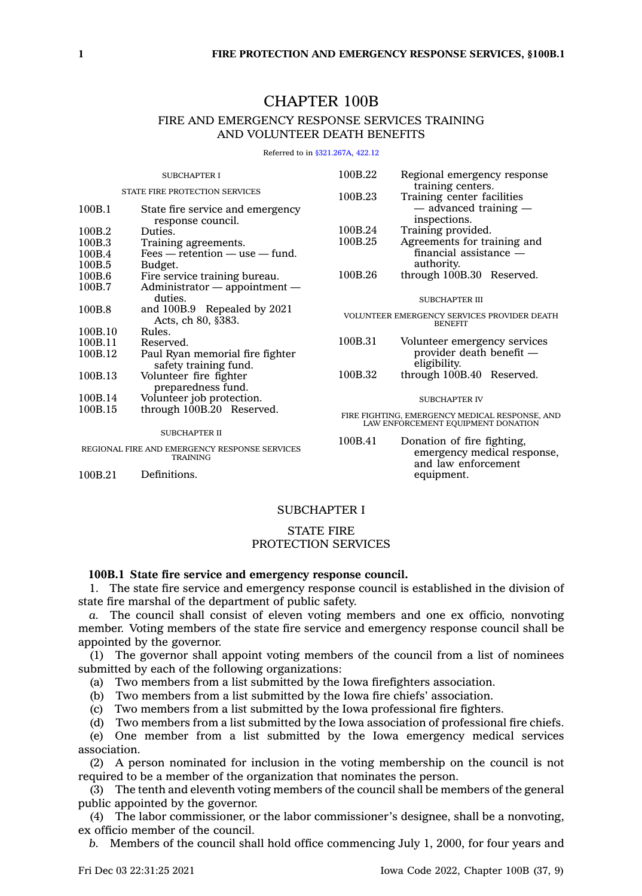# CHAPTER 100B

## FIRE AND EMERGENCY RESPONSE SERVICES TRAINING AND VOLUNTEER DEATH BENEFITS

Referred to in [§321.267A](https://www.legis.iowa.gov/docs/code/321.267A.pdf), [422.12](https://www.legis.iowa.gov/docs/code/422.12.pdf)

| <b>SUBCHAPTER I</b>                                              |                                                   | 100B.22 | Regional emergency response<br>training centers.                                     |
|------------------------------------------------------------------|---------------------------------------------------|---------|--------------------------------------------------------------------------------------|
| STATE FIRE PROTECTION SERVICES                                   |                                                   | 100B.23 | Training center facilities                                                           |
| 100B.1                                                           | State fire service and emergency                  |         | - advanced training                                                                  |
|                                                                  | response council.                                 |         | inspections.                                                                         |
| 100B.2                                                           | Duties.                                           | 100B.24 | Training provided.                                                                   |
| 100B.3                                                           | Training agreements.                              | 100B.25 | Agreements for training and                                                          |
| 100B.4                                                           | $Fees - retention - use - fund.$                  |         | $finarcial$ assistance $-$                                                           |
| 100B.5                                                           | Budget.                                           |         | authority.                                                                           |
| 100B.6                                                           | Fire service training bureau.                     | 100B.26 | through 100B.30 Reserved.                                                            |
| 100B.7                                                           | $Administrator$ - appointment -                   |         |                                                                                      |
|                                                                  | duties.                                           |         | <b>SUBCHAPTER III</b>                                                                |
| 100B.8                                                           | and 100B.9 Repealed by 2021<br>Acts, ch 80, §383. |         | VOLUNTEER EMERGENCY SERVICES PROVIDER DEATH<br><b>BENEFIT</b>                        |
| 100B.10                                                          | Rules.                                            |         |                                                                                      |
| 100B.11                                                          | Reserved.                                         | 100B.31 | Volunteer emergency services                                                         |
| 100B.12                                                          | Paul Ryan memorial fire fighter                   |         | provider death benefit —                                                             |
|                                                                  | safety training fund.                             |         | eligibility.                                                                         |
| 100B.13                                                          | Volunteer fire fighter                            | 100B.32 | through 100B.40 Reserved.                                                            |
|                                                                  | preparedness fund.                                |         |                                                                                      |
| 100B.14                                                          | Volunteer job protection.                         |         | <b>SUBCHAPTER IV</b>                                                                 |
| 100B.15                                                          | through 100B.20 Reserved.                         |         | FIRE FIGHTING, EMERGENCY MEDICAL RESPONSE, AND<br>LAW ENFORCEMENT EQUIPMENT DONATION |
| <b>SUBCHAPTER II</b>                                             |                                                   |         |                                                                                      |
| REGIONAL FIRE AND EMERGENCY RESPONSE SERVICES<br><b>TRAINING</b> |                                                   | 100B.41 | Donation of fire fighting,<br>emergency medical response,<br>and law enforcement     |

100B.21 Definitions.

## SUBCHAPTER I

## STATE FIRE PROTECTION SERVICES

## **100B.1 State fire service and emergency response council.**

1. The state fire service and emergency response council is established in the division of state fire marshal of the department of public safety.

*a.* The council shall consist of eleven voting members and one ex officio, nonvoting member. Voting members of the state fire service and emergency response council shall be appointed by the governor.

(1) The governor shall appoint voting members of the council from <sup>a</sup> list of nominees submitted by each of the following organizations:

(a) Two members from <sup>a</sup> list submitted by the Iowa firefighters association.

(b) Two members from <sup>a</sup> list submitted by the Iowa fire chiefs' association.

(c) Two members from <sup>a</sup> list submitted by the Iowa professional fire fighters.

(d) Two members from <sup>a</sup> list submitted by the Iowa association of professional fire chiefs.

(e) One member from <sup>a</sup> list submitted by the Iowa emergency medical services association.

(2) A person nominated for inclusion in the voting membership on the council is not required to be <sup>a</sup> member of the organization that nominates the person.

(3) The tenth and eleventh voting members of the council shall be members of the general public appointed by the governor.

(4) The labor commissioner, or the labor commissioner's designee, shall be <sup>a</sup> nonvoting, ex officio member of the council.

*b.* Members of the council shall hold office commencing July 1, 2000, for four years and

equipment.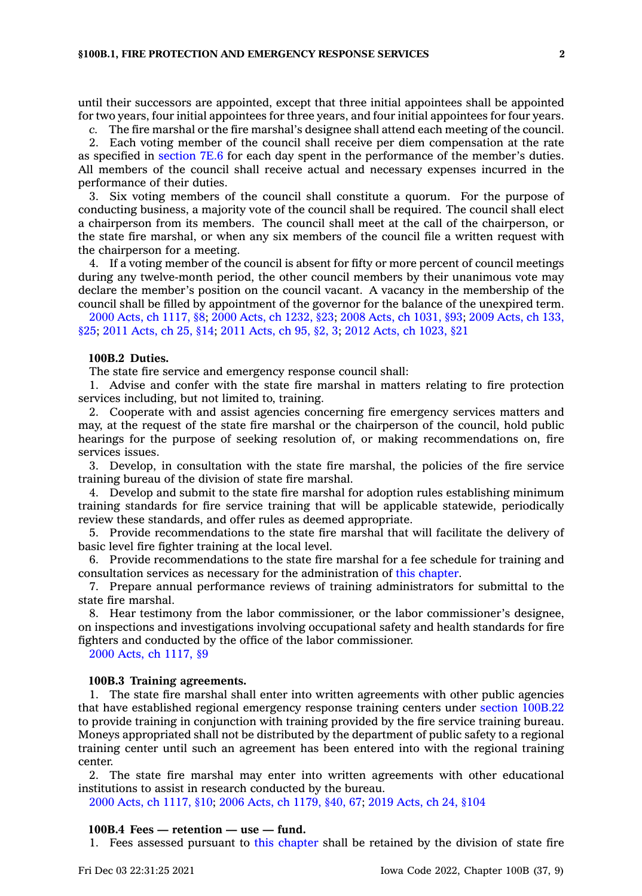until their successors are appointed, except that three initial appointees shall be appointed for two years, four initial appointees for three years, and four initial appointees for four years.

*c.* The fire marshal or the fire marshal's designee shall attend each meeting of the council.

2. Each voting member of the council shall receive per diem compensation at the rate as specified in [section](https://www.legis.iowa.gov/docs/code/7E.6.pdf) 7E.6 for each day spent in the performance of the member's duties. All members of the council shall receive actual and necessary expenses incurred in the performance of their duties.

3. Six voting members of the council shall constitute <sup>a</sup> quorum. For the purpose of conducting business, <sup>a</sup> majority vote of the council shall be required. The council shall elect <sup>a</sup> chairperson from its members. The council shall meet at the call of the chairperson, or the state fire marshal, or when any six members of the council file <sup>a</sup> written request with the chairperson for <sup>a</sup> meeting.

4. If <sup>a</sup> voting member of the council is absent for fifty or more percent of council meetings during any twelve-month period, the other council members by their unanimous vote may declare the member's position on the council vacant. A vacancy in the membership of the council shall be filled by appointment of the governor for the balance of the unexpired term.

2000 Acts, ch [1117,](https://www.legis.iowa.gov/docs/acts/2000/CH1117.pdf) §8; 2000 Acts, ch [1232,](https://www.legis.iowa.gov/docs/acts/2000/CH1232.pdf) §23; 2008 Acts, ch [1031,](https://www.legis.iowa.gov/docs/acts/2008/CH1031.pdf) §93; 2009 [Acts,](https://www.legis.iowa.gov/docs/acts/2009/CH0133.pdf) ch 133, [§25](https://www.legis.iowa.gov/docs/acts/2009/CH0133.pdf); 2011 [Acts,](https://www.legis.iowa.gov/docs/acts/2011/CH0025.pdf) ch 25, §14; 2011 [Acts,](https://www.legis.iowa.gov/docs/acts/2011/CH0095.pdf) ch 95, §2, 3; 2012 Acts, ch [1023,](https://www.legis.iowa.gov/docs/acts/2012/CH1023.pdf) §21

#### **100B.2 Duties.**

The state fire service and emergency response council shall:

1. Advise and confer with the state fire marshal in matters relating to fire protection services including, but not limited to, training.

2. Cooperate with and assist agencies concerning fire emergency services matters and may, at the request of the state fire marshal or the chairperson of the council, hold public hearings for the purpose of seeking resolution of, or making recommendations on, fire services issues.

3. Develop, in consultation with the state fire marshal, the policies of the fire service training bureau of the division of state fire marshal.

4. Develop and submit to the state fire marshal for adoption rules establishing minimum training standards for fire service training that will be applicable statewide, periodically review these standards, and offer rules as deemed appropriate.

5. Provide recommendations to the state fire marshal that will facilitate the delivery of basic level fire fighter training at the local level.

6. Provide recommendations to the state fire marshal for <sup>a</sup> fee schedule for training and consultation services as necessary for the administration of this [chapter](https://www.legis.iowa.gov/docs/code//100B.pdf).

7. Prepare annual performance reviews of training administrators for submittal to the state fire marshal.

8. Hear testimony from the labor commissioner, or the labor commissioner's designee, on inspections and investigations involving occupational safety and health standards for fire fighters and conducted by the office of the labor commissioner.

2000 Acts, ch [1117,](https://www.legis.iowa.gov/docs/acts/2000/CH1117.pdf) §9

#### **100B.3 Training agreements.**

1. The state fire marshal shall enter into written agreements with other public agencies that have established regional emergency response training centers under section [100B.22](https://www.legis.iowa.gov/docs/code/100B.22.pdf) to provide training in conjunction with training provided by the fire service training bureau. Moneys appropriated shall not be distributed by the department of public safety to <sup>a</sup> regional training center until such an agreement has been entered into with the regional training center.

2. The state fire marshal may enter into written agreements with other educational institutions to assist in research conducted by the bureau.

2000 Acts, ch [1117,](https://www.legis.iowa.gov/docs/acts/2000/CH1117.pdf) §10; 2006 Acts, ch [1179,](https://www.legis.iowa.gov/docs/acts/2006/CH1179.pdf) §40, 67; 2019 [Acts,](https://www.legis.iowa.gov/docs/acts/2019/CH0024.pdf) ch 24, §104

#### **100B.4 Fees — retention — use — fund.**

1. Fees assessed pursuant to this [chapter](https://www.legis.iowa.gov/docs/code//100B.pdf) shall be retained by the division of state fire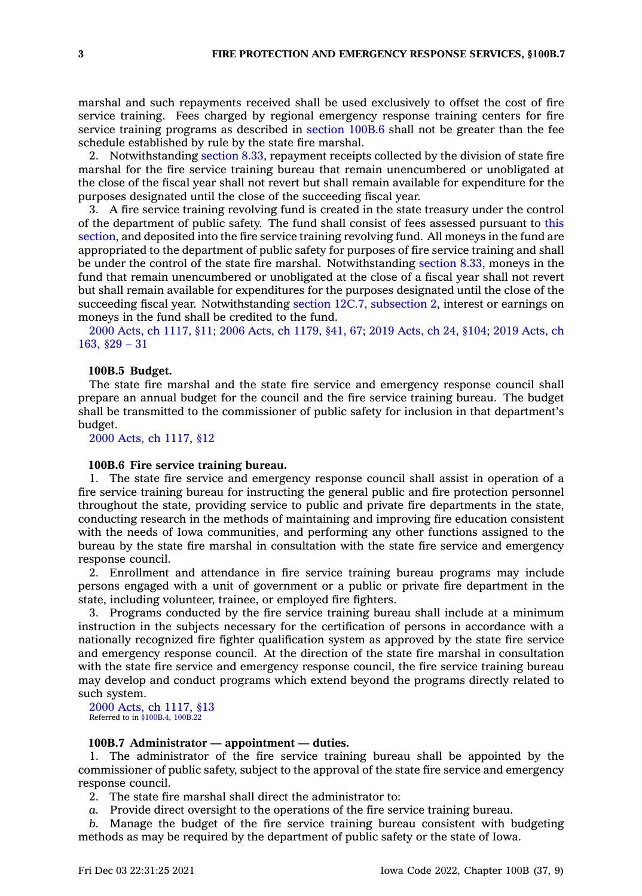marshal and such repayments received shall be used exclusively to offset the cost of fire service training. Fees charged by regional emergency response training centers for fire service training programs as described in [section](https://www.legis.iowa.gov/docs/code/100B.6.pdf) 100B.6 shall not be greater than the fee schedule established by rule by the state fire marshal.

2. Notwithstanding [section](https://www.legis.iowa.gov/docs/code/8.33.pdf) 8.33, repayment receipts collected by the division of state fire marshal for the fire service training bureau that remain unencumbered or unobligated at the close of the fiscal year shall not revert but shall remain available for expenditure for the purposes designated until the close of the succeeding fiscal year.

3. A fire service training revolving fund is created in the state treasury under the control of the department of public safety. The fund shall consist of fees assessed pursuant to [this](https://www.legis.iowa.gov/docs/code/100B.4.pdf) [section](https://www.legis.iowa.gov/docs/code/100B.4.pdf), and deposited into the fire service training revolving fund. All moneys in the fund are appropriated to the department of public safety for purposes of fire service training and shall be under the control of the state fire marshal. Notwithstanding [section](https://www.legis.iowa.gov/docs/code/8.33.pdf) 8.33, moneys in the fund that remain unencumbered or unobligated at the close of <sup>a</sup> fiscal year shall not revert but shall remain available for expenditures for the purposes designated until the close of the succeeding fiscal year. Notwithstanding section 12C.7, [subsection](https://www.legis.iowa.gov/docs/code/12C.7.pdf) 2, interest or earnings on moneys in the fund shall be credited to the fund.

2000 Acts, ch [1117,](https://www.legis.iowa.gov/docs/acts/2000/CH1117.pdf) §11; 2006 Acts, ch [1179,](https://www.legis.iowa.gov/docs/acts/2006/CH1179.pdf) §41, 67; 2019 [Acts,](https://www.legis.iowa.gov/docs/acts/2019/CH0024.pdf) ch 24, §104; 2019 [Acts,](https://www.legis.iowa.gov/docs/acts/2019/CH0163.pdf) ch [163,](https://www.legis.iowa.gov/docs/acts/2019/CH0163.pdf) §29 – 31

#### **100B.5 Budget.**

The state fire marshal and the state fire service and emergency response council shall prepare an annual budget for the council and the fire service training bureau. The budget shall be transmitted to the commissioner of public safety for inclusion in that department's budget.

2000 Acts, ch [1117,](https://www.legis.iowa.gov/docs/acts/2000/CH1117.pdf) §12

### **100B.6 Fire service training bureau.**

1. The state fire service and emergency response council shall assist in operation of <sup>a</sup> fire service training bureau for instructing the general public and fire protection personnel throughout the state, providing service to public and private fire departments in the state, conducting research in the methods of maintaining and improving fire education consistent with the needs of Iowa communities, and performing any other functions assigned to the bureau by the state fire marshal in consultation with the state fire service and emergency response council.

2. Enrollment and attendance in fire service training bureau programs may include persons engaged with <sup>a</sup> unit of government or <sup>a</sup> public or private fire department in the state, including volunteer, trainee, or employed fire fighters.

3. Programs conducted by the fire service training bureau shall include at <sup>a</sup> minimum instruction in the subjects necessary for the certification of persons in accordance with <sup>a</sup> nationally recognized fire fighter qualification system as approved by the state fire service and emergency response council. At the direction of the state fire marshal in consultation with the state fire service and emergency response council, the fire service training bureau may develop and conduct programs which extend beyond the programs directly related to such system.

2000 Acts, ch [1117,](https://www.legis.iowa.gov/docs/acts/2000/CH1117.pdf) §13 Referred to in [§100B.4](https://www.legis.iowa.gov/docs/code/100B.4.pdf), [100B.22](https://www.legis.iowa.gov/docs/code/100B.22.pdf)

## **100B.7 Administrator — appointment — duties.**

1. The administrator of the fire service training bureau shall be appointed by the commissioner of public safety, subject to the approval of the state fire service and emergency response council.

- 2. The state fire marshal shall direct the administrator to:
- *a.* Provide direct oversight to the operations of the fire service training bureau.

*b.* Manage the budget of the fire service training bureau consistent with budgeting methods as may be required by the department of public safety or the state of Iowa.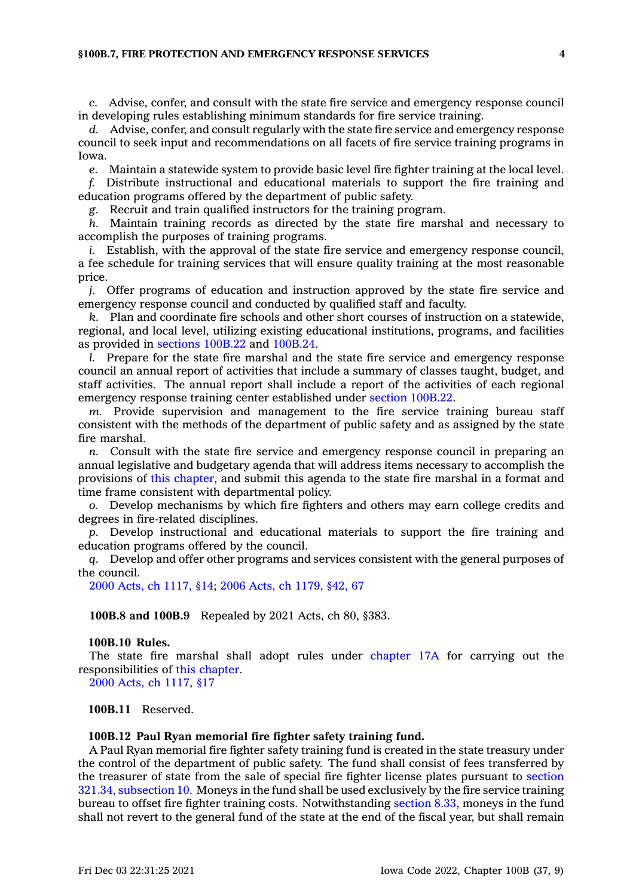#### **§100B.7, FIRE PROTECTION AND EMERGENCY RESPONSE SERVICES 4**

*c.* Advise, confer, and consult with the state fire service and emergency response council in developing rules establishing minimum standards for fire service training.

*d.* Advise, confer, and consult regularly with the state fire service and emergency response council to seek input and recommendations on all facets of fire service training programs in Iowa.

*e.* Maintain <sup>a</sup> statewide system to provide basic level fire fighter training at the local level.

*f.* Distribute instructional and educational materials to support the fire training and education programs offered by the department of public safety.

*g.* Recruit and train qualified instructors for the training program.

*h.* Maintain training records as directed by the state fire marshal and necessary to accomplish the purposes of training programs.

*i.* Establish, with the approval of the state fire service and emergency response council, <sup>a</sup> fee schedule for training services that will ensure quality training at the most reasonable price.

*j.* Offer programs of education and instruction approved by the state fire service and emergency response council and conducted by qualified staff and faculty.

*k.* Plan and coordinate fire schools and other short courses of instruction on <sup>a</sup> statewide, regional, and local level, utilizing existing educational institutions, programs, and facilities as provided in [sections](https://www.legis.iowa.gov/docs/code/100B.22.pdf) 100B.22 and [100B.24](https://www.legis.iowa.gov/docs/code/100B.24.pdf).

*l.* Prepare for the state fire marshal and the state fire service and emergency response council an annual report of activities that include <sup>a</sup> summary of classes taught, budget, and staff activities. The annual report shall include <sup>a</sup> report of the activities of each regional emergency response training center established under section [100B.22](https://www.legis.iowa.gov/docs/code/100B.22.pdf).

*m.* Provide supervision and management to the fire service training bureau staff consistent with the methods of the department of public safety and as assigned by the state fire marshal.

*n.* Consult with the state fire service and emergency response council in preparing an annual legislative and budgetary agenda that will address items necessary to accomplish the provisions of this [chapter](https://www.legis.iowa.gov/docs/code//100B.pdf), and submit this agenda to the state fire marshal in <sup>a</sup> format and time frame consistent with departmental policy.

*o.* Develop mechanisms by which fire fighters and others may earn college credits and degrees in fire-related disciplines.

*p.* Develop instructional and educational materials to support the fire training and education programs offered by the council.

*q.* Develop and offer other programs and services consistent with the general purposes of the council.

2000 Acts, ch [1117,](https://www.legis.iowa.gov/docs/acts/2000/CH1117.pdf) §14; 2006 Acts, ch [1179,](https://www.legis.iowa.gov/docs/acts/2006/CH1179.pdf) §42, 67

**100B.8 and 100B.9** Repealed by 2021 Acts, ch 80, §383.

### **100B.10 Rules.**

The state fire marshal shall adopt rules under [chapter](https://www.legis.iowa.gov/docs/code//17A.pdf) 17A for carrying out the responsibilities of this [chapter](https://www.legis.iowa.gov/docs/code//100B.pdf).

2000 Acts, ch [1117,](https://www.legis.iowa.gov/docs/acts/2000/CH1117.pdf) §17

**100B.11** Reserved.

#### **100B.12 Paul Ryan memorial fire fighter safety training fund.**

A Paul Ryan memorial fire fighter safety training fund is created in the state treasury under the control of the department of public safety. The fund shall consist of fees transferred by the treasurer of state from the sale of special fire fighter license plates pursuant to [section](https://www.legis.iowa.gov/docs/code/321.34.pdf) 321.34, [subsection](https://www.legis.iowa.gov/docs/code/321.34.pdf) 10. Moneys in the fund shall be used exclusively by the fire service training bureau to offset fire fighter training costs. Notwithstanding [section](https://www.legis.iowa.gov/docs/code/8.33.pdf) 8.33, moneys in the fund shall not revert to the general fund of the state at the end of the fiscal year, but shall remain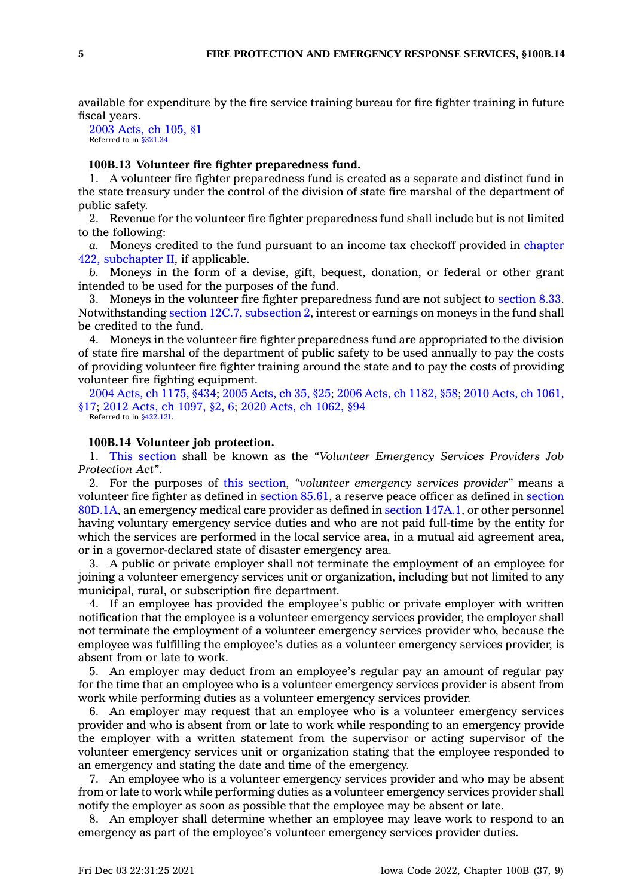available for expenditure by the fire service training bureau for fire fighter training in future fiscal years.

2003 [Acts,](https://www.legis.iowa.gov/docs/acts/2003/CH0105.pdf) ch 105, §1 Referred to in \$321.34

#### **100B.13 Volunteer fire fighter preparedness fund.**

1. A volunteer fire fighter preparedness fund is created as <sup>a</sup> separate and distinct fund in the state treasury under the control of the division of state fire marshal of the department of public safety.

2. Revenue for the volunteer fire fighter preparedness fund shall include but is not limited to the following:

*a.* Moneys credited to the fund pursuant to an income tax checkoff provided in [chapter](https://www.legis.iowa.gov/docs/code//422.pdf) 422, [subchapter](https://www.legis.iowa.gov/docs/code//422.pdf) II, if applicable.

*b.* Moneys in the form of <sup>a</sup> devise, gift, bequest, donation, or federal or other grant intended to be used for the purposes of the fund.

3. Moneys in the volunteer fire fighter preparedness fund are not subject to [section](https://www.legis.iowa.gov/docs/code/8.33.pdf) 8.33. Notwithstanding section 12C.7, [subsection](https://www.legis.iowa.gov/docs/code/12C.7.pdf) 2, interest or earnings on moneys in the fund shall be credited to the fund.

4. Moneys in the volunteer fire fighter preparedness fund are appropriated to the division of state fire marshal of the department of public safety to be used annually to pay the costs of providing volunteer fire fighter training around the state and to pay the costs of providing volunteer fire fighting equipment.

2004 Acts, ch [1175,](https://www.legis.iowa.gov/docs/acts/2004/CH1175.pdf) §434; 2005 [Acts,](https://www.legis.iowa.gov/docs/acts/2005/CH0035.pdf) ch 35, §25; 2006 Acts, ch [1182,](https://www.legis.iowa.gov/docs/acts/2006/CH1182.pdf) §58; 2010 Acts, ch [1061,](https://www.legis.iowa.gov/docs/acts/2010/CH1061.pdf) [§17](https://www.legis.iowa.gov/docs/acts/2010/CH1061.pdf); 2012 Acts, ch [1097,](https://www.legis.iowa.gov/docs/acts/2012/CH1097.pdf) §2, 6; 2020 Acts, ch [1062,](https://www.legis.iowa.gov/docs/acts/2020/CH1062.pdf) §94

Referred to in [§422.12L](https://www.legis.iowa.gov/docs/code/422.12L.pdf)

## **100B.14 Volunteer job protection.**

1. This [section](https://www.legis.iowa.gov/docs/code/100B.14.pdf) shall be known as the *"Volunteer Emergency Services Providers Job Protection Act"*.

2. For the purposes of this [section](https://www.legis.iowa.gov/docs/code/100B.14.pdf), *"volunteer emergency services provider"* means <sup>a</sup> volunteer fire fighter as defined in [section](https://www.legis.iowa.gov/docs/code/85.61.pdf) 85.61, <sup>a</sup> reserve peace officer as defined in [section](https://www.legis.iowa.gov/docs/code/80D.1A.pdf) [80D.1A](https://www.legis.iowa.gov/docs/code/80D.1A.pdf), an emergency medical care provider as defined in section [147A.1](https://www.legis.iowa.gov/docs/code/147A.1.pdf), or other personnel having voluntary emergency service duties and who are not paid full-time by the entity for which the services are performed in the local service area, in <sup>a</sup> mutual aid agreement area, or in <sup>a</sup> governor-declared state of disaster emergency area.

3. A public or private employer shall not terminate the employment of an employee for joining <sup>a</sup> volunteer emergency services unit or organization, including but not limited to any municipal, rural, or subscription fire department.

4. If an employee has provided the employee's public or private employer with written notification that the employee is <sup>a</sup> volunteer emergency services provider, the employer shall not terminate the employment of <sup>a</sup> volunteer emergency services provider who, because the employee was fulfilling the employee's duties as <sup>a</sup> volunteer emergency services provider, is absent from or late to work.

5. An employer may deduct from an employee's regular pay an amount of regular pay for the time that an employee who is <sup>a</sup> volunteer emergency services provider is absent from work while performing duties as <sup>a</sup> volunteer emergency services provider.

6. An employer may request that an employee who is <sup>a</sup> volunteer emergency services provider and who is absent from or late to work while responding to an emergency provide the employer with <sup>a</sup> written statement from the supervisor or acting supervisor of the volunteer emergency services unit or organization stating that the employee responded to an emergency and stating the date and time of the emergency.

7. An employee who is <sup>a</sup> volunteer emergency services provider and who may be absent from or late to work while performing duties as <sup>a</sup> volunteer emergency services provider shall notify the employer as soon as possible that the employee may be absent or late.

8. An employer shall determine whether an employee may leave work to respond to an emergency as part of the employee's volunteer emergency services provider duties.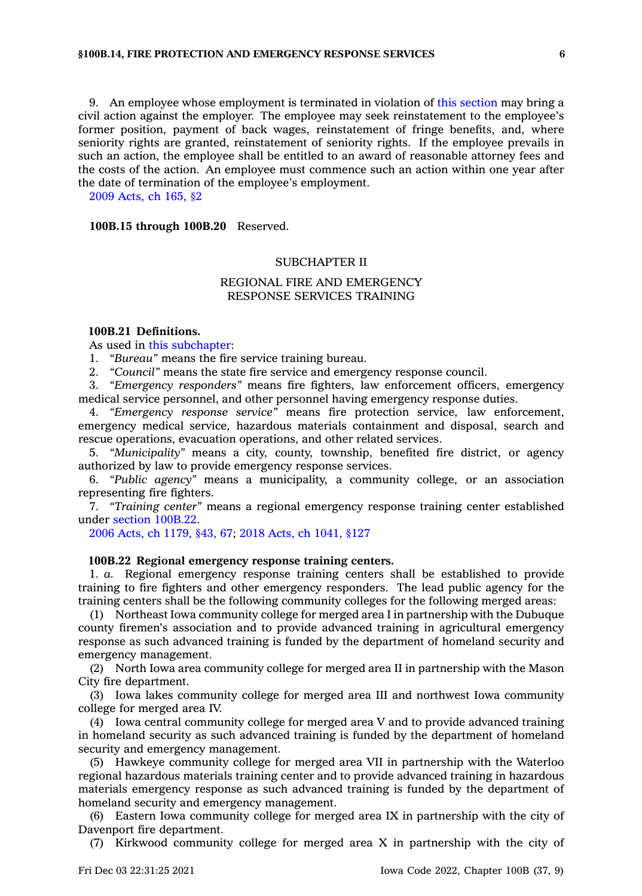9. An employee whose employment is terminated in violation of this [section](https://www.legis.iowa.gov/docs/code/100B.14.pdf) may bring <sup>a</sup> civil action against the employer. The employee may seek reinstatement to the employee's former position, payment of back wages, reinstatement of fringe benefits, and, where seniority rights are granted, reinstatement of seniority rights. If the employee prevails in such an action, the employee shall be entitled to an award of reasonable attorney fees and the costs of the action. An employee must commence such an action within one year after the date of termination of the employee's employment.

2009 [Acts,](https://www.legis.iowa.gov/docs/acts/2009/CH0165.pdf) ch 165, §2

**100B.15 through 100B.20** Reserved.

## SUBCHAPTER II

## REGIONAL FIRE AND EMERGENCY RESPONSE SERVICES TRAINING

#### **100B.21 Definitions.**

As used in this [subchapter](https://www.legis.iowa.gov/docs/code//100B.pdf):

1. *"Bureau"* means the fire service training bureau.

2. *"Council"* means the state fire service and emergency response council.

3. *"Emergency responders"* means fire fighters, law enforcement officers, emergency medical service personnel, and other personnel having emergency response duties.

4. *"Emergency response service"* means fire protection service, law enforcement, emergency medical service, hazardous materials containment and disposal, search and rescue operations, evacuation operations, and other related services.

5. *"Municipality"* means <sup>a</sup> city, county, township, benefited fire district, or agency authorized by law to provide emergency response services.

6. *"Public agency"* means <sup>a</sup> municipality, <sup>a</sup> community college, or an association representing fire fighters.

7. *"Training center"* means <sup>a</sup> regional emergency response training center established under section [100B.22](https://www.legis.iowa.gov/docs/code/100B.22.pdf).

2006 Acts, ch [1179,](https://www.legis.iowa.gov/docs/acts/2006/CH1179.pdf) §43, 67; 2018 Acts, ch [1041,](https://www.legis.iowa.gov/docs/acts/2018/CH1041.pdf) §127

#### **100B.22 Regional emergency response training centers.**

1. *a.* Regional emergency response training centers shall be established to provide training to fire fighters and other emergency responders. The lead public agency for the training centers shall be the following community colleges for the following merged areas:

(1) Northeast Iowa community college for merged area I in partnership with the Dubuque county firemen's association and to provide advanced training in agricultural emergency response as such advanced training is funded by the department of homeland security and emergency management.

(2) North Iowa area community college for merged area II in partnership with the Mason City fire department.

(3) Iowa lakes community college for merged area III and northwest Iowa community college for merged area IV.

(4) Iowa central community college for merged area V and to provide advanced training in homeland security as such advanced training is funded by the department of homeland security and emergency management.

(5) Hawkeye community college for merged area VII in partnership with the Waterloo regional hazardous materials training center and to provide advanced training in hazardous materials emergency response as such advanced training is funded by the department of homeland security and emergency management.

(6) Eastern Iowa community college for merged area IX in partnership with the city of Davenport fire department.

(7) Kirkwood community college for merged area X in partnership with the city of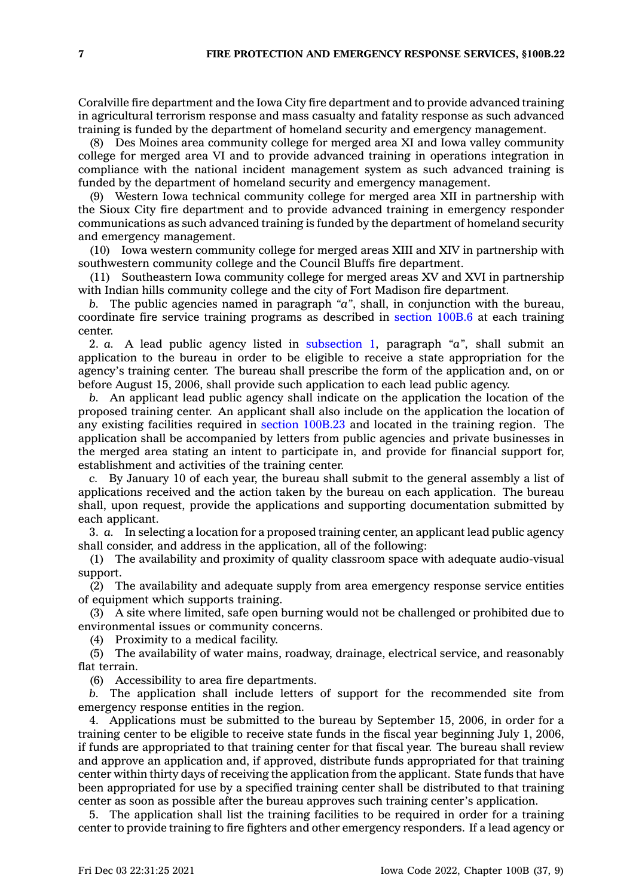Coralville fire department and the Iowa City fire department and to provide advanced training in agricultural terrorism response and mass casualty and fatality response as such advanced training is funded by the department of homeland security and emergency management.

(8) Des Moines area community college for merged area XI and Iowa valley community college for merged area VI and to provide advanced training in operations integration in compliance with the national incident management system as such advanced training is funded by the department of homeland security and emergency management.

(9) Western Iowa technical community college for merged area XII in partnership with the Sioux City fire department and to provide advanced training in emergency responder communications as such advanced training is funded by the department of homeland security and emergency management.

(10) Iowa western community college for merged areas XIII and XIV in partnership with southwestern community college and the Council Bluffs fire department.

(11) Southeastern Iowa community college for merged areas XV and XVI in partnership with Indian hills community college and the city of Fort Madison fire department.

*b.* The public agencies named in paragraph *"a"*, shall, in conjunction with the bureau, coordinate fire service training programs as described in [section](https://www.legis.iowa.gov/docs/code/100B.6.pdf) 100B.6 at each training center.

2. *a.* A lead public agency listed in [subsection](https://www.legis.iowa.gov/docs/code/100B.22.pdf) 1, paragraph *"a"*, shall submit an application to the bureau in order to be eligible to receive <sup>a</sup> state appropriation for the agency's training center. The bureau shall prescribe the form of the application and, on or before August 15, 2006, shall provide such application to each lead public agency.

*b.* An applicant lead public agency shall indicate on the application the location of the proposed training center. An applicant shall also include on the application the location of any existing facilities required in section [100B.23](https://www.legis.iowa.gov/docs/code/100B.23.pdf) and located in the training region. The application shall be accompanied by letters from public agencies and private businesses in the merged area stating an intent to participate in, and provide for financial support for, establishment and activities of the training center.

*c.* By January 10 of each year, the bureau shall submit to the general assembly <sup>a</sup> list of applications received and the action taken by the bureau on each application. The bureau shall, upon request, provide the applications and supporting documentation submitted by each applicant.

3. *a.* In selecting <sup>a</sup> location for <sup>a</sup> proposed training center, an applicant lead public agency shall consider, and address in the application, all of the following:

(1) The availability and proximity of quality classroom space with adequate audio-visual support.

(2) The availability and adequate supply from area emergency response service entities of equipment which supports training.

(3) A site where limited, safe open burning would not be challenged or prohibited due to environmental issues or community concerns.

(4) Proximity to <sup>a</sup> medical facility.

(5) The availability of water mains, roadway, drainage, electrical service, and reasonably flat terrain.

(6) Accessibility to area fire departments.

*b.* The application shall include letters of support for the recommended site from emergency response entities in the region.

4. Applications must be submitted to the bureau by September 15, 2006, in order for <sup>a</sup> training center to be eligible to receive state funds in the fiscal year beginning July 1, 2006, if funds are appropriated to that training center for that fiscal year. The bureau shall review and approve an application and, if approved, distribute funds appropriated for that training center within thirty days of receiving the application from the applicant. State funds that have been appropriated for use by <sup>a</sup> specified training center shall be distributed to that training center as soon as possible after the bureau approves such training center's application.

5. The application shall list the training facilities to be required in order for <sup>a</sup> training center to provide training to fire fighters and other emergency responders. If <sup>a</sup> lead agency or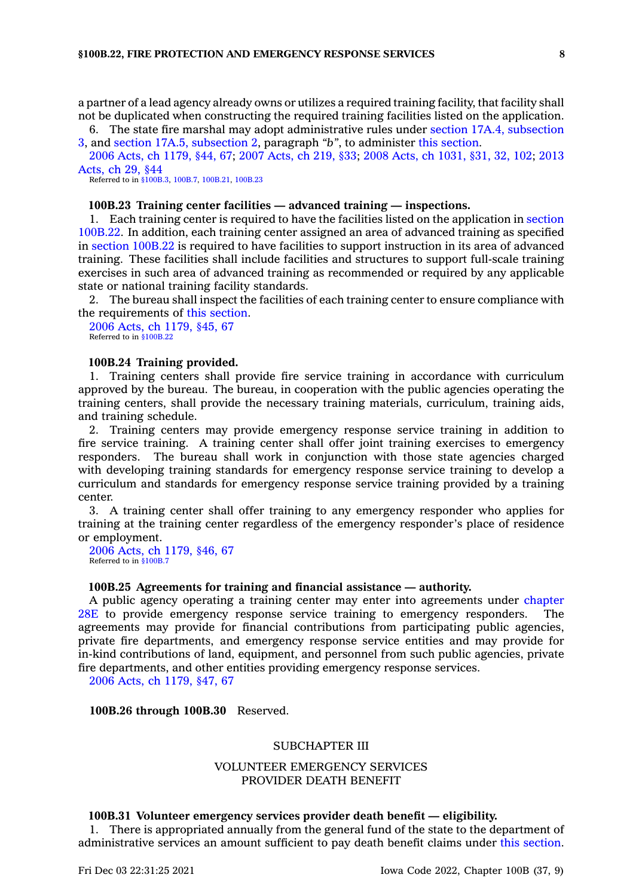<sup>a</sup> partner of <sup>a</sup> lead agency already owns or utilizes <sup>a</sup> required training facility, that facility shall not be duplicated when constructing the required training facilities listed on the application.

6. The state fire marshal may adopt administrative rules under section 17A.4, [subsection](https://www.legis.iowa.gov/docs/code/17A.4.pdf) [3](https://www.legis.iowa.gov/docs/code/17A.4.pdf), and section 17A.5, [subsection](https://www.legis.iowa.gov/docs/code/17A.5.pdf) 2, paragraph *"b"*, to administer this [section](https://www.legis.iowa.gov/docs/code/100B.22.pdf).

2006 Acts, ch [1179,](https://www.legis.iowa.gov/docs/acts/2006/CH1179.pdf) §44, 67; 2007 [Acts,](https://www.legis.iowa.gov/docs/acts/2007/CH0219.pdf) ch 219, §33; 2008 Acts, ch [1031,](https://www.legis.iowa.gov/docs/acts/2008/CH1031.pdf) §31, 32, 102; [2013](https://www.legis.iowa.gov/docs/acts/2013/CH0029.pdf) [Acts,](https://www.legis.iowa.gov/docs/acts/2013/CH0029.pdf) ch 29, §44

Referred to in [§100B.3](https://www.legis.iowa.gov/docs/code/100B.3.pdf), [100B.7,](https://www.legis.iowa.gov/docs/code/100B.7.pdf) [100B.21](https://www.legis.iowa.gov/docs/code/100B.21.pdf), [100B.23](https://www.legis.iowa.gov/docs/code/100B.23.pdf)

## **100B.23 Training center facilities — advanced training — inspections.**

1. Each training center is required to have the facilities listed on the application in [section](https://www.legis.iowa.gov/docs/code/100B.22.pdf) [100B.22](https://www.legis.iowa.gov/docs/code/100B.22.pdf). In addition, each training center assigned an area of advanced training as specified in section [100B.22](https://www.legis.iowa.gov/docs/code/100B.22.pdf) is required to have facilities to support instruction in its area of advanced training. These facilities shall include facilities and structures to support full-scale training exercises in such area of advanced training as recommended or required by any applicable state or national training facility standards.

2. The bureau shall inspect the facilities of each training center to ensure compliance with the requirements of this [section](https://www.legis.iowa.gov/docs/code/100B.23.pdf).

2006 Acts, ch [1179,](https://www.legis.iowa.gov/docs/acts/2006/CH1179.pdf) §45, 67 Referred to in [§100B.22](https://www.legis.iowa.gov/docs/code/100B.22.pdf)

### **100B.24 Training provided.**

1. Training centers shall provide fire service training in accordance with curriculum approved by the bureau. The bureau, in cooperation with the public agencies operating the training centers, shall provide the necessary training materials, curriculum, training aids, and training schedule.

2. Training centers may provide emergency response service training in addition to fire service training. A training center shall offer joint training exercises to emergency responders. The bureau shall work in conjunction with those state agencies charged with developing training standards for emergency response service training to develop <sup>a</sup> curriculum and standards for emergency response service training provided by <sup>a</sup> training center.

3. A training center shall offer training to any emergency responder who applies for training at the training center regardless of the emergency responder's place of residence or employment.

2006 Acts, ch [1179,](https://www.legis.iowa.gov/docs/acts/2006/CH1179.pdf) §46, 67 Referred to in [§100B.7](https://www.legis.iowa.gov/docs/code/100B.7.pdf)

## **100B.25 Agreements for training and financial assistance — authority.**

A public agency operating <sup>a</sup> training center may enter into agreements under [chapter](https://www.legis.iowa.gov/docs/code//28E.pdf) [28E](https://www.legis.iowa.gov/docs/code//28E.pdf) to provide emergency response service training to emergency responders. The agreements may provide for financial contributions from participating public agencies, private fire departments, and emergency response service entities and may provide for in-kind contributions of land, equipment, and personnel from such public agencies, private fire departments, and other entities providing emergency response services.

2006 Acts, ch [1179,](https://www.legis.iowa.gov/docs/acts/2006/CH1179.pdf) §47, 67

### **100B.26 through 100B.30** Reserved.

## SUBCHAPTER III

## VOLUNTEER EMERGENCY SERVICES PROVIDER DEATH BENEFIT

### **100B.31 Volunteer emergency services provider death benefit — eligibility.**

1. There is appropriated annually from the general fund of the state to the department of administrative services an amount sufficient to pay death benefit claims under this [section](https://www.legis.iowa.gov/docs/code/100B.31.pdf).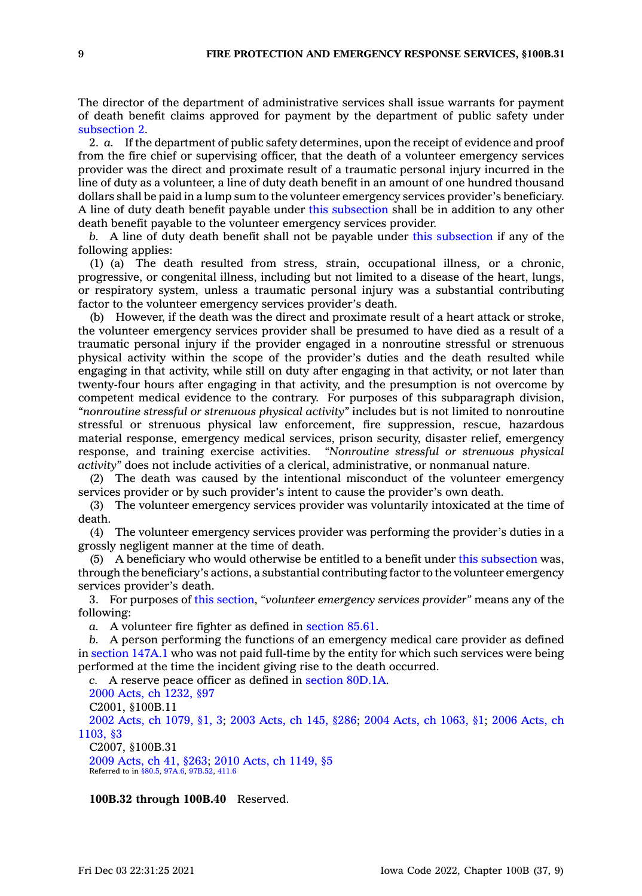The director of the department of administrative services shall issue warrants for payment of death benefit claims approved for payment by the department of public safety under [subsection](https://www.legis.iowa.gov/docs/code/100B.31.pdf) 2.

2. *a.* If the department of public safety determines, upon the receipt of evidence and proof from the fire chief or supervising officer, that the death of <sup>a</sup> volunteer emergency services provider was the direct and proximate result of <sup>a</sup> traumatic personal injury incurred in the line of duty as <sup>a</sup> volunteer, <sup>a</sup> line of duty death benefit in an amount of one hundred thousand dollars shall be paid in <sup>a</sup> lump sum to the volunteer emergency services provider's beneficiary. A line of duty death benefit payable under this [subsection](https://www.legis.iowa.gov/docs/code/100B.31.pdf) shall be in addition to any other death benefit payable to the volunteer emergency services provider.

*b.* A line of duty death benefit shall not be payable under this [subsection](https://www.legis.iowa.gov/docs/code/100B.31.pdf) if any of the following applies:

(1) (a) The death resulted from stress, strain, occupational illness, or <sup>a</sup> chronic, progressive, or congenital illness, including but not limited to <sup>a</sup> disease of the heart, lungs, or respiratory system, unless <sup>a</sup> traumatic personal injury was <sup>a</sup> substantial contributing factor to the volunteer emergency services provider's death.

(b) However, if the death was the direct and proximate result of <sup>a</sup> heart attack or stroke, the volunteer emergency services provider shall be presumed to have died as <sup>a</sup> result of <sup>a</sup> traumatic personal injury if the provider engaged in <sup>a</sup> nonroutine stressful or strenuous physical activity within the scope of the provider's duties and the death resulted while engaging in that activity, while still on duty after engaging in that activity, or not later than twenty-four hours after engaging in that activity, and the presumption is not overcome by competent medical evidence to the contrary. For purposes of this subparagraph division, *"nonroutine stressful or strenuous physical activity"* includes but is not limited to nonroutine stressful or strenuous physical law enforcement, fire suppression, rescue, hazardous material response, emergency medical services, prison security, disaster relief, emergency response, and training exercise activities. *"Nonroutine stressful or strenuous physical activity"* does not include activities of <sup>a</sup> clerical, administrative, or nonmanual nature.

(2) The death was caused by the intentional misconduct of the volunteer emergency services provider or by such provider's intent to cause the provider's own death.

(3) The volunteer emergency services provider was voluntarily intoxicated at the time of death.

(4) The volunteer emergency services provider was performing the provider's duties in <sup>a</sup> grossly negligent manner at the time of death.

(5) A beneficiary who would otherwise be entitled to <sup>a</sup> benefit under this [subsection](https://www.legis.iowa.gov/docs/code/100B.31.pdf) was, through the beneficiary's actions, <sup>a</sup> substantial contributing factor to the volunteer emergency services provider's death.

3. For purposes of this [section](https://www.legis.iowa.gov/docs/code/100B.31.pdf), *"volunteer emergency services provider"* means any of the following:

*a.* A volunteer fire fighter as defined in [section](https://www.legis.iowa.gov/docs/code/85.61.pdf) 85.61.

*b.* A person performing the functions of an emergency medical care provider as defined in [section](https://www.legis.iowa.gov/docs/code/147A.1.pdf) 147A.1 who was not paid full-time by the entity for which such services were being performed at the time the incident giving rise to the death occurred.

*c.* A reserve peace officer as defined in section [80D.1A](https://www.legis.iowa.gov/docs/code/80D.1A.pdf).

2000 Acts, ch [1232,](https://www.legis.iowa.gov/docs/acts/2000/CH1232.pdf) §97

C2001, §100B.11

2002 Acts, ch [1079,](https://www.legis.iowa.gov/docs/acts/2002/CH1079.pdf) §1, 3; 2003 [Acts,](https://www.legis.iowa.gov/docs/acts/2003/CH0145.pdf) ch 145, §286; 2004 Acts, ch [1063,](https://www.legis.iowa.gov/docs/acts/2004/CH1063.pdf) §1; 2006 [Acts,](https://www.legis.iowa.gov/docs/acts/2006/CH1103.pdf) ch [1103,](https://www.legis.iowa.gov/docs/acts/2006/CH1103.pdf) §3

C2007, §100B.31 2009 [Acts,](https://www.legis.iowa.gov/docs/acts/2009/CH0041.pdf) ch 41, §263; 2010 Acts, ch [1149,](https://www.legis.iowa.gov/docs/acts/2010/CH1149.pdf) §5 Referred to in [§80.5](https://www.legis.iowa.gov/docs/code/80.5.pdf), [97A.6](https://www.legis.iowa.gov/docs/code/97A.6.pdf), [97B.52](https://www.legis.iowa.gov/docs/code/97B.52.pdf), [411.6](https://www.legis.iowa.gov/docs/code/411.6.pdf)

**100B.32 through 100B.40** Reserved.